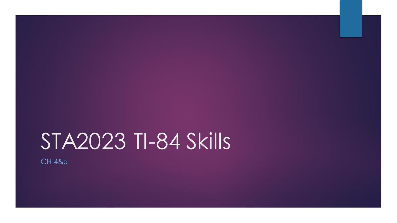# STA2023 TI-84 Skills

CH 4&5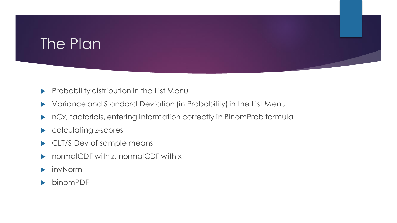# The Plan

- Probability distribution in the List Menu
- Variance and Standard Deviation (in Probability) in the List Menu
- nCx, factorials, entering information correctly in BinomProb formula
- calculating z-scores
- CLT/StDev of sample means
- normalCDF with z, normalCDF with x
- invNorm
- binomPDF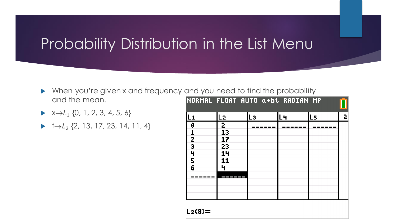#### Probability Distribution in the List Menu

- When you're given x and frequency and you need to find the probability and the mean.
- $\blacktriangleright \ \ \times \rightarrow L_1 \ \{0, 1, 2, 3, 4, 5, 6\}$
- $\blacktriangleright$  f $\rightarrow$   $L_2$  {2, 13, 17, 23, 14, 11, 4}

|                                                       | NORMAL FLOAT AUTO a+bi RADIAN MP     |    |    |     |   |
|-------------------------------------------------------|--------------------------------------|----|----|-----|---|
| $L_{1}$                                               | L2                                   | Lэ | Lч | IL5 | 2 |
| $\boldsymbol{\theta}$<br>$\frac{1}{2}$<br>4<br>5<br>6 | 2<br>13<br>17<br>23<br>14<br>11<br>ц |    |    |     |   |
| L2(8)=                                                |                                      |    |    |     |   |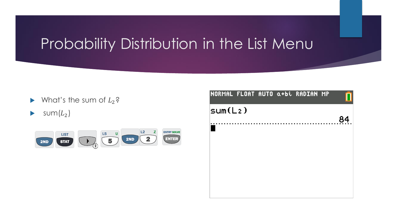# Probability Distribution in the List Menu

- $\blacktriangleright$  What's the sum of  $L_2$ ?
- $\blacktriangleright$  sum $(L_2)$



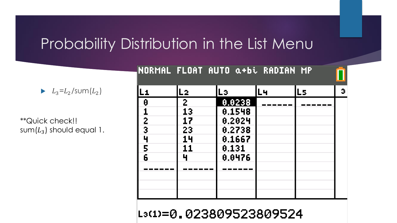#### Probability Distribution in the List Menu

 $\blacktriangleright$   $L_3=L_2$ /sum $(L_2)$ 

\*\*Quick check!! sum $(L_3)$  should equal 1.

| INUKMML FLUMI MUIU Q+BL KMUIMN MF                             |                                                   |                                                                   |    |    |   |
|---------------------------------------------------------------|---------------------------------------------------|-------------------------------------------------------------------|----|----|---|
|                                                               | - 2                                               | Lэ                                                                | Lч | L5 | э |
| 0<br>$\overline{c}$<br>$\overline{\mathbf{3}}$<br>4<br>5<br>6 | $\overline{2}$<br>13<br>17<br>23<br>14<br>11<br>Ч | 0.0238<br>0.1548<br>0.2024<br>0.2738<br>0.1667<br>0.131<br>0.0476 |    |    |   |
|                                                               |                                                   |                                                                   |    |    |   |

L3(1)=0.023809523809524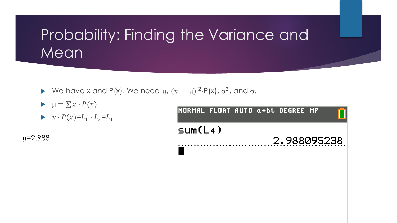# Probability: Finding the Variance and **Mean**

- We have x and P(x). We need  $\mu$ ,  $(x \mu)^{2} \cdot P(x)$ ,  $\sigma^{2}$ , and  $\sigma$ .
- $\blacktriangleright \mu = \sum x \cdot P(x)$
- $\blacktriangleright \quad x \cdot P(x) = L_1 \cdot L_3 = L_4$

 $\mu = 2.988$ 

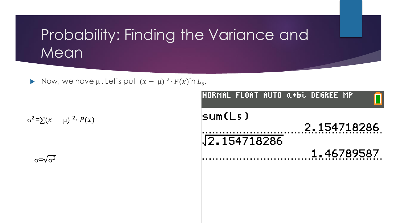# Probability: Finding the Variance and **Mean**

Now, we have  $\mu$ . Let's put  $(x - \mu)^2 \cdot P(x)$ in  $L_5$ .

 $\sigma^2 = \sum (x - \mu)^2 \cdot P(x)$ 

 $\sigma = \sqrt{\sigma^2}$ 

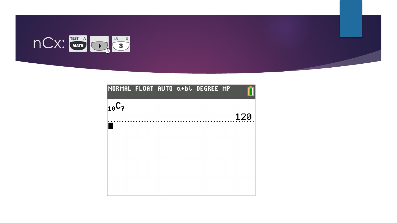

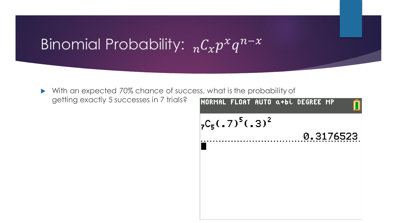# Binomial Probability:  ${}_{n}C_{x}p^{x}q^{n-x}$

 With an expected 70% chance of success, what is the probability of getting exactly 5 successes in 7 trials?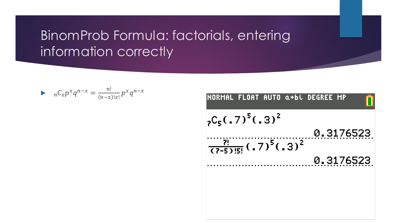#### BinomProb Formula: factorials, entering information correctly

$$
nC_x p^x q^{n-x} = \frac{n!}{(n-x)!x!} p^x q^{n-x}
$$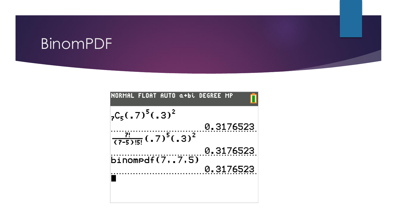# BinomPDF

| <b>INORMAL FLOAT AUTO α+bi DEGREE MP</b>                 |  |           |  |
|----------------------------------------------------------|--|-----------|--|
| $25C_5(.7)^5(.3)^2$                                      |  |           |  |
|                                                          |  | 0.3176523 |  |
| $\frac{1}{(7-5)15!}$ (.7) <sup>5</sup> (.3) <sup>2</sup> |  |           |  |
| binompdf(77.5)                                           |  | 0.3176523 |  |
|                                                          |  | 0.3176523 |  |
|                                                          |  |           |  |
|                                                          |  |           |  |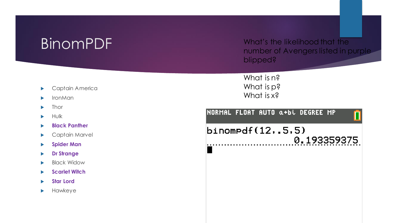#### BinomPDF

What's the likelihood that the number of Avengers listed in purple blipped?

What is n? What is p? What is x?

NORMAL FLOAT AUTO a+bi DEGREE MP

 $binompdf(12,.5,5)$ 0.193359375

- **Captain America**
- IronMan
- $\blacktriangleright$  Thor
- $\blacktriangleright$  Hulk
- **Black Panther**
- Captain Marvel
- **Spider Man**
- **Dr Strange**
- Black Widow
- **Scarlet Witch**
- **Star Lord**
- $\blacktriangleright$  Hawkeye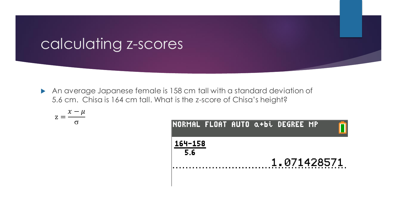#### calculating z-scores

 An average Japanese female is 158 cm tall with a standard deviation of 5.6 cm. Chisa is 164 cm tall. What is the z-score of Chisa's height?

$$
z = \frac{x - \mu}{\sigma}
$$

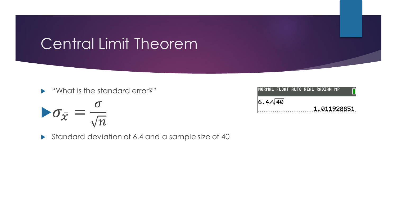# Central Limit Theorem

"What is the standard error?"

$$
\blacktriangleright \sigma_{\bar{\chi}} = \frac{\sigma}{\sqrt{n}}
$$

Standard deviation of 6.4 and a sample size of 40

| NORMAL FLOAT AUTO REAL RADIAN MP |  |             |  |
|----------------------------------|--|-------------|--|
| $6.4/\sqrt{40}$                  |  |             |  |
|                                  |  | 1.011928851 |  |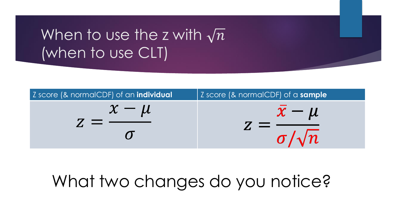# When to use the z with  $\sqrt{n}$ (when to use CLT)



# What two changes do you notice?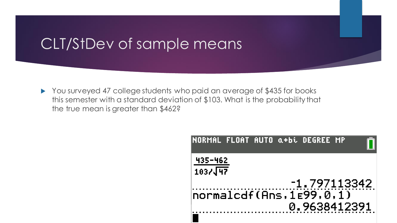#### CLT/StDev of sample means

▶ You surveyed 47 college students who paid an average of \$435 for books this semester with a standard deviation of \$103. What is the probability that the true mean is greater than \$462?

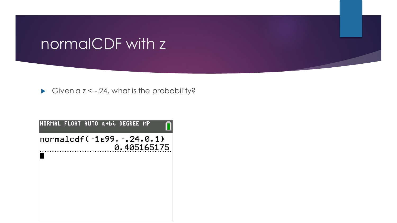#### normalCDF with z

Given a  $z < -0.24$ , what is the probability?

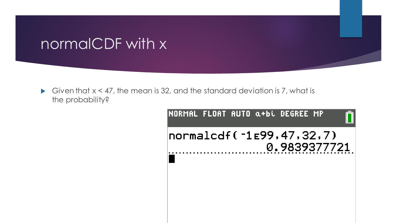#### normalCDF with x

Given that  $x < 47$ , the mean is 32, and the standard deviation is 7, what is the probability?

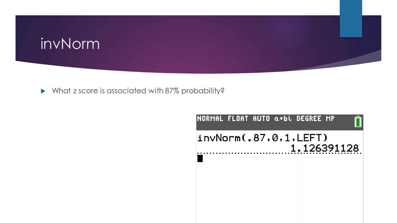# invNorm

What z score is associated with 87% probability?